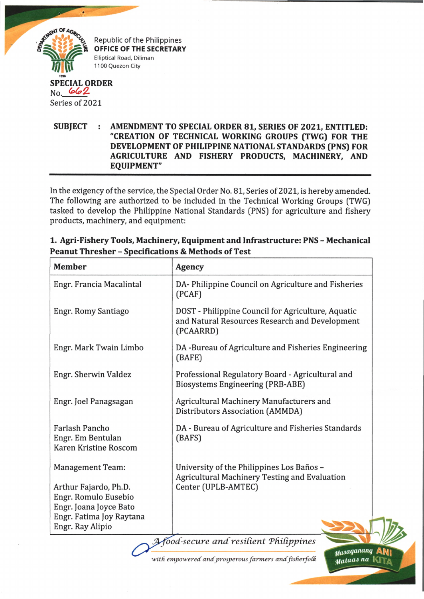

Republic of the Philippines **OFFICE OF THE SECRETARY** Elliptical Road, Diliman 1100 Quezon City

## **SPECIAL ORDER** Series of 2021

**SUBJECT : AMENDMENT TO SPECIAL ORDER 81, SERIES OF 2021, ENTITLED: "CREATION OF TECHNICAL WORKING GROUPS (TWG) FOR THE DEVELOPMENT OF PHILIPPINE NATIONAL STANDARDS (PNS) FOR AGRICULTURE AND FISHERY PRODUCTS, MACHINERY, AND EQUIPMENT"**

In the exigency of the service, the Special Order No. 81, Series of 2021, is hereby amended. The following are authorized to be included in the Technical Working Groups (TWG) tasked to develop the Philippine National Standards (PNS) for agriculture and fishery products, machinery, and equipment:

| <b>Member</b>                                                              | <b>Agency</b>                                                                                                     |
|----------------------------------------------------------------------------|-------------------------------------------------------------------------------------------------------------------|
| Engr. Francia Macalintal                                                   | DA-Philippine Council on Agriculture and Fisheries<br>(PCAF)                                                      |
| Engr. Romy Santiago                                                        | DOST - Philippine Council for Agriculture, Aquatic<br>and Natural Resources Research and Development<br>(PCAARRD) |
| Engr. Mark Twain Limbo                                                     | DA-Bureau of Agriculture and Fisheries Engineering<br>(BAFE)                                                      |
| Engr. Sherwin Valdez                                                       | Professional Regulatory Board - Agricultural and<br><b>Biosystems Engineering (PRB-ABE)</b>                       |
| Engr. Joel Panagsagan                                                      | Agricultural Machinery Manufacturers and<br>Distributors Association (AMMDA)                                      |
| <b>Farlash Pancho</b><br>Engr. Em Bentulan<br><b>Karen Kristine Roscom</b> | DA - Bureau of Agriculture and Fisheries Standards<br>(BAFS)                                                      |
| <b>Management Team:</b>                                                    | University of the Philippines Los Baños -<br>Agricultural Machinery Testing and Evaluation                        |
| Arthur Fajardo, Ph.D.<br>Engr. Romulo Eusebio<br>Engr. Joana Joyce Bato    | Center (UPLB-AMTEC)                                                                                               |
| Engr. Fatima Joy Raytana<br>Engr. Ray Alipio                               |                                                                                                                   |

**1. Agri-Fishery Tools, Machinery, Equipment and Infrastructure: PNS - Mechanical Peanut Thresher - Specifications & Methods of Test**

with empowered and prosperous farmers and fisherfolk

Masaganang ANI Mataas na Kir